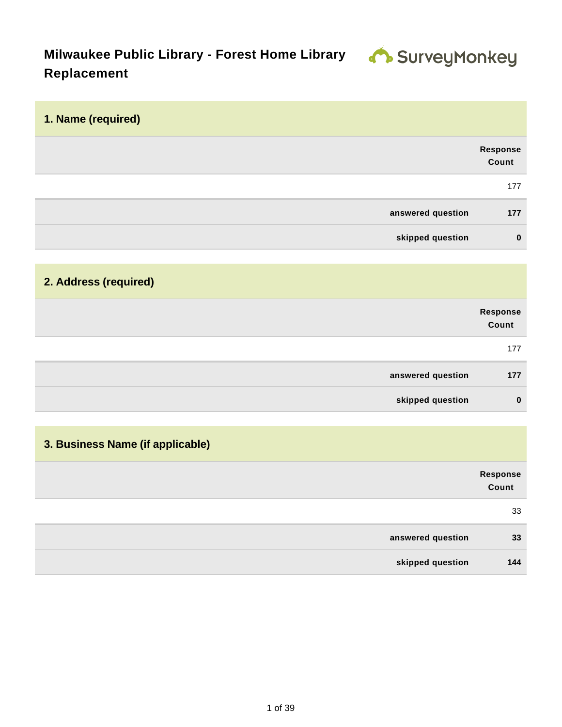# **Milwaukee Public Library - Forest Home Library 4 SUIVEYMONKEY Replacement**

| 1. Name (required)               |                          |
|----------------------------------|--------------------------|
|                                  | <b>Response</b><br>Count |
|                                  | 177                      |
| answered question                | 177                      |
| skipped question                 | $\mathbf 0$              |
|                                  |                          |
| 2. Address (required)            |                          |
|                                  | Response<br>Count        |
|                                  | 177                      |
|                                  |                          |
| answered question                | 177                      |
| skipped question                 | $\mathbf 0$              |
|                                  |                          |
| 3. Business Name (if applicable) |                          |
|                                  | Response<br>Count        |
|                                  | 33                       |
| answered question                | 33                       |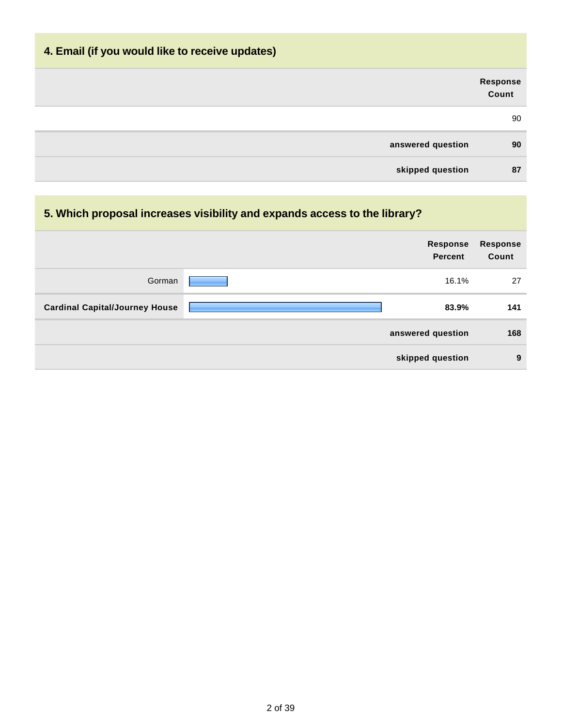# **4. Email (if you would like to receive updates)**

|                   | Response<br>Count |
|-------------------|-------------------|
|                   | 90                |
| answered question | 90                |
| skipped question  | 87                |

### **5. Which proposal increases visibility and expands access to the library?**

|                                       | Response<br><b>Percent</b> | <b>Response</b><br>Count |
|---------------------------------------|----------------------------|--------------------------|
| Gorman                                | 16.1%                      | 27                       |
| <b>Cardinal Capital/Journey House</b> | 83.9%                      | 141                      |
|                                       | answered question          | 168                      |
|                                       | skipped question           | 9                        |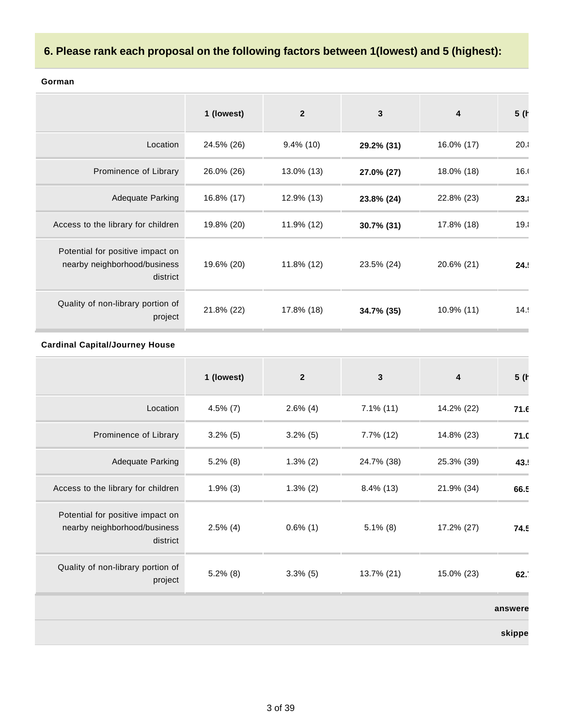### **6. Please rank each proposal on the following factors between 1(lowest) and 5 (highest):**

|                                                                              | 1 (lowest) | $\overline{2}$ | 3          | 4             | 5(   |
|------------------------------------------------------------------------------|------------|----------------|------------|---------------|------|
| Location                                                                     | 24.5% (26) | $9.4\%$ (10)   | 29.2% (31) | 16.0% (17)    | 20.1 |
| Prominence of Library                                                        | 26.0% (26) | 13.0% (13)     | 27.0% (27) | 18.0% (18)    | 16.0 |
| <b>Adequate Parking</b>                                                      | 16.8% (17) | 12.9% (13)     | 23.8% (24) | 22.8% (23)    | 23.1 |
| Access to the library for children                                           | 19.8% (20) | 11.9% (12)     | 30.7% (31) | 17.8% (18)    | 19.1 |
| Potential for positive impact on<br>nearby neighborhood/business<br>district | 19.6% (20) | 11.8% (12)     | 23.5% (24) | 20.6% (21)    | 24.5 |
| Quality of non-library portion of<br>project                                 | 21.8% (22) | 17.8% (18)     | 34.7% (35) | $10.9\%$ (11) | 14.9 |

#### **Gorman**

#### **Cardinal Capital/Journey House**

|                                                                              | 1 (lowest)  | $\mathbf{2}$ | $\mathbf{3}$ | 4          | 5(      |
|------------------------------------------------------------------------------|-------------|--------------|--------------|------------|---------|
| Location                                                                     | $4.5\%$ (7) | $2.6\%$ (4)  | $7.1\%$ (11) | 14.2% (22) | 71.6    |
| Prominence of Library                                                        | $3.2\%$ (5) | $3.2\%$ (5)  | $7.7\%$ (12) | 14.8% (23) | 71.0    |
| Adequate Parking                                                             | $5.2\%$ (8) | $1.3\%$ (2)  | 24.7% (38)   | 25.3% (39) | 43.     |
| Access to the library for children                                           | $1.9\%$ (3) | $1.3\%$ (2)  | $8.4\%$ (13) | 21.9% (34) | 66.5    |
| Potential for positive impact on<br>nearby neighborhood/business<br>district | $2.5\%$ (4) | $0.6\%$ (1)  | $5.1\%$ (8)  | 17.2% (27) | 74.5    |
| Quality of non-library portion of<br>project                                 | $5.2\%$ (8) | $3.3\%$ (5)  | 13.7% (21)   | 15.0% (23) | 62.     |
|                                                                              |             |              |              |            | answere |
|                                                                              |             |              |              |            | skippe  |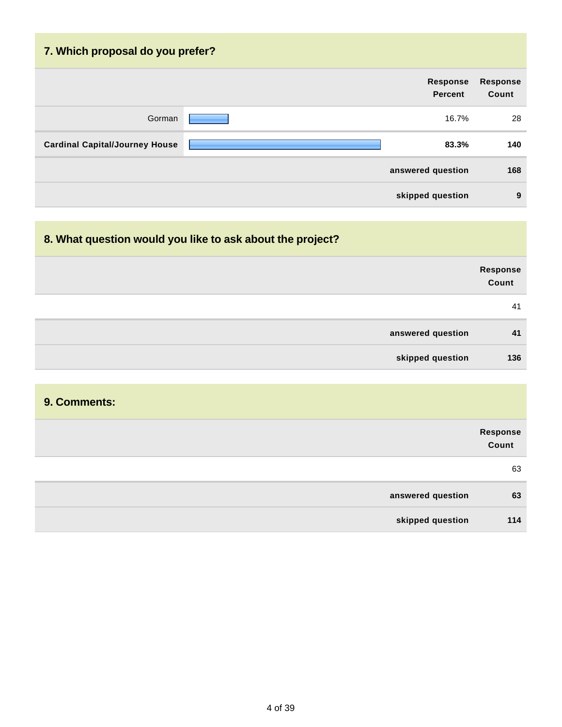| 7. Which proposal do you prefer?      |  |                                   |                          |  |  |
|---------------------------------------|--|-----------------------------------|--------------------------|--|--|
|                                       |  | <b>Response</b><br><b>Percent</b> | <b>Response</b><br>Count |  |  |
| Gorman                                |  | 16.7%                             | 28                       |  |  |
| <b>Cardinal Capital/Journey House</b> |  | 83.3%                             | 140                      |  |  |
|                                       |  | answered question                 | 168                      |  |  |
|                                       |  | skipped question                  | 9                        |  |  |

## **8. What question would you like to ask about the project?**

|                   | Response<br>Count |
|-------------------|-------------------|
|                   | 41                |
| answered question | 41                |
| skipped question  | 136               |

### **9. Comments:**

|                   | Response<br>Count |
|-------------------|-------------------|
|                   | 63                |
| answered question | 63                |
| skipped question  | 114               |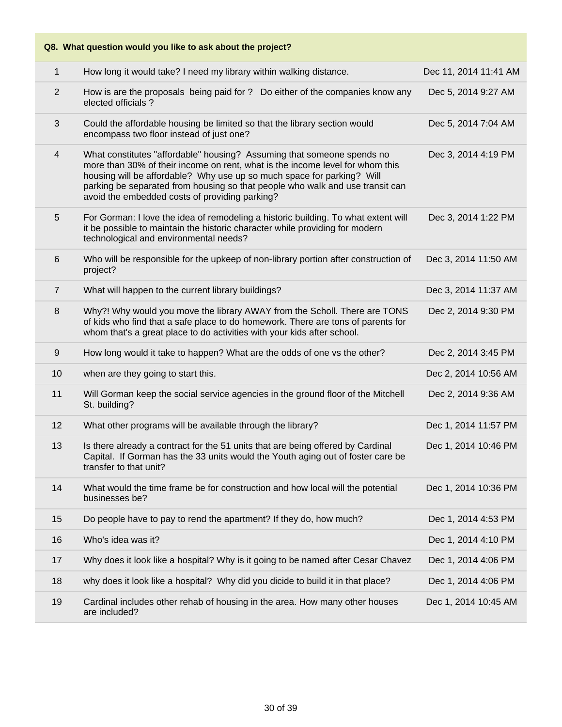|                | Q8. What question would you like to ask about the project?                                                                                                                                                                                                                                                                                                           |                       |
|----------------|----------------------------------------------------------------------------------------------------------------------------------------------------------------------------------------------------------------------------------------------------------------------------------------------------------------------------------------------------------------------|-----------------------|
| 1              | How long it would take? I need my library within walking distance.                                                                                                                                                                                                                                                                                                   | Dec 11, 2014 11:41 AM |
| 2              | How is are the proposals being paid for ? Do either of the companies know any<br>elected officials?                                                                                                                                                                                                                                                                  | Dec 5, 2014 9:27 AM   |
| $\mathfrak{S}$ | Could the affordable housing be limited so that the library section would<br>encompass two floor instead of just one?                                                                                                                                                                                                                                                | Dec 5, 2014 7:04 AM   |
| 4              | What constitutes "affordable" housing? Assuming that someone spends no<br>more than 30% of their income on rent, what is the income level for whom this<br>housing will be affordable? Why use up so much space for parking? Will<br>parking be separated from housing so that people who walk and use transit can<br>avoid the embedded costs of providing parking? | Dec 3, 2014 4:19 PM   |
| 5              | For Gorman: I love the idea of remodeling a historic building. To what extent will<br>it be possible to maintain the historic character while providing for modern<br>technological and environmental needs?                                                                                                                                                         | Dec 3, 2014 1:22 PM   |
| 6              | Who will be responsible for the upkeep of non-library portion after construction of<br>project?                                                                                                                                                                                                                                                                      | Dec 3, 2014 11:50 AM  |
| $\overline{7}$ | What will happen to the current library buildings?                                                                                                                                                                                                                                                                                                                   | Dec 3, 2014 11:37 AM  |
| 8              | Why?! Why would you move the library AWAY from the Scholl. There are TONS<br>of kids who find that a safe place to do homework. There are tons of parents for<br>whom that's a great place to do activities with your kids after school.                                                                                                                             | Dec 2, 2014 9:30 PM   |
| $9\,$          | How long would it take to happen? What are the odds of one vs the other?                                                                                                                                                                                                                                                                                             | Dec 2, 2014 3:45 PM   |
| 10             | when are they going to start this.                                                                                                                                                                                                                                                                                                                                   | Dec 2, 2014 10:56 AM  |
| 11             | Will Gorman keep the social service agencies in the ground floor of the Mitchell<br>St. building?                                                                                                                                                                                                                                                                    | Dec 2, 2014 9:36 AM   |
| 12             | What other programs will be available through the library?                                                                                                                                                                                                                                                                                                           | Dec 1, 2014 11:57 PM  |
| 13             | Is there already a contract for the 51 units that are being offered by Cardinal<br>Capital. If Gorman has the 33 units would the Youth aging out of foster care be<br>transfer to that unit?                                                                                                                                                                         | Dec 1, 2014 10:46 PM  |
| 14             | What would the time frame be for construction and how local will the potential<br>businesses be?                                                                                                                                                                                                                                                                     | Dec 1, 2014 10:36 PM  |
| 15             | Do people have to pay to rend the apartment? If they do, how much?                                                                                                                                                                                                                                                                                                   | Dec 1, 2014 4:53 PM   |
| 16             | Who's idea was it?                                                                                                                                                                                                                                                                                                                                                   | Dec 1, 2014 4:10 PM   |
| 17             | Why does it look like a hospital? Why is it going to be named after Cesar Chavez                                                                                                                                                                                                                                                                                     | Dec 1, 2014 4:06 PM   |
| 18             | why does it look like a hospital? Why did you dicide to build it in that place?                                                                                                                                                                                                                                                                                      | Dec 1, 2014 4:06 PM   |
| 19             | Cardinal includes other rehab of housing in the area. How many other houses<br>are included?                                                                                                                                                                                                                                                                         | Dec 1, 2014 10:45 AM  |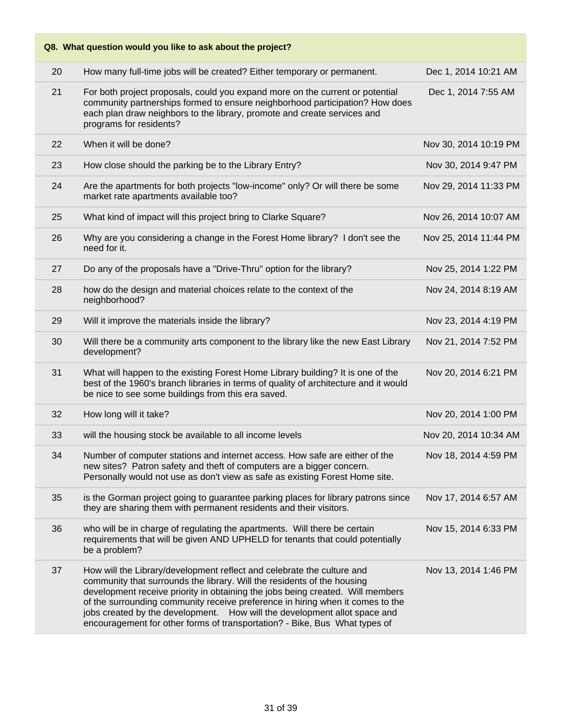|    | Q8. What question would you like to ask about the project?                                                                                                                                                                                                                                                                                                                                                                                                                       |                       |
|----|----------------------------------------------------------------------------------------------------------------------------------------------------------------------------------------------------------------------------------------------------------------------------------------------------------------------------------------------------------------------------------------------------------------------------------------------------------------------------------|-----------------------|
| 20 | How many full-time jobs will be created? Either temporary or permanent.                                                                                                                                                                                                                                                                                                                                                                                                          | Dec 1, 2014 10:21 AM  |
| 21 | For both project proposals, could you expand more on the current or potential<br>community partnerships formed to ensure neighborhood participation? How does<br>each plan draw neighbors to the library, promote and create services and<br>programs for residents?                                                                                                                                                                                                             | Dec 1, 2014 7:55 AM   |
| 22 | When it will be done?                                                                                                                                                                                                                                                                                                                                                                                                                                                            | Nov 30, 2014 10:19 PM |
| 23 | How close should the parking be to the Library Entry?                                                                                                                                                                                                                                                                                                                                                                                                                            | Nov 30, 2014 9:47 PM  |
| 24 | Are the apartments for both projects "low-income" only? Or will there be some<br>market rate apartments available too?                                                                                                                                                                                                                                                                                                                                                           | Nov 29, 2014 11:33 PM |
| 25 | What kind of impact will this project bring to Clarke Square?                                                                                                                                                                                                                                                                                                                                                                                                                    | Nov 26, 2014 10:07 AM |
| 26 | Why are you considering a change in the Forest Home library? I don't see the<br>need for it.                                                                                                                                                                                                                                                                                                                                                                                     | Nov 25, 2014 11:44 PM |
| 27 | Do any of the proposals have a "Drive-Thru" option for the library?                                                                                                                                                                                                                                                                                                                                                                                                              | Nov 25, 2014 1:22 PM  |
| 28 | how do the design and material choices relate to the context of the<br>neighborhood?                                                                                                                                                                                                                                                                                                                                                                                             | Nov 24, 2014 8:19 AM  |
| 29 | Will it improve the materials inside the library?                                                                                                                                                                                                                                                                                                                                                                                                                                | Nov 23, 2014 4:19 PM  |
| 30 | Will there be a community arts component to the library like the new East Library<br>development?                                                                                                                                                                                                                                                                                                                                                                                | Nov 21, 2014 7:52 PM  |
| 31 | What will happen to the existing Forest Home Library building? It is one of the<br>best of the 1960's branch libraries in terms of quality of architecture and it would<br>be nice to see some buildings from this era saved.                                                                                                                                                                                                                                                    | Nov 20, 2014 6:21 PM  |
| 32 | How long will it take?                                                                                                                                                                                                                                                                                                                                                                                                                                                           | Nov 20, 2014 1:00 PM  |
| 33 | will the housing stock be available to all income levels                                                                                                                                                                                                                                                                                                                                                                                                                         | Nov 20, 2014 10:34 AM |
| 34 | Number of computer stations and internet access. How safe are either of the<br>new sites? Patron safety and theft of computers are a bigger concern.<br>Personally would not use as don't view as safe as existing Forest Home site.                                                                                                                                                                                                                                             | Nov 18, 2014 4:59 PM  |
| 35 | is the Gorman project going to guarantee parking places for library patrons since<br>they are sharing them with permanent residents and their visitors.                                                                                                                                                                                                                                                                                                                          | Nov 17, 2014 6:57 AM  |
| 36 | who will be in charge of regulating the apartments. Will there be certain<br>requirements that will be given AND UPHELD for tenants that could potentially<br>be a problem?                                                                                                                                                                                                                                                                                                      | Nov 15, 2014 6:33 PM  |
| 37 | How will the Library/development reflect and celebrate the culture and<br>community that surrounds the library. Will the residents of the housing<br>development receive priority in obtaining the jobs being created. Will members<br>of the surrounding community receive preference in hiring when it comes to the<br>jobs created by the development. How will the development allot space and<br>encouragement for other forms of transportation? - Bike, Bus What types of | Nov 13, 2014 1:46 PM  |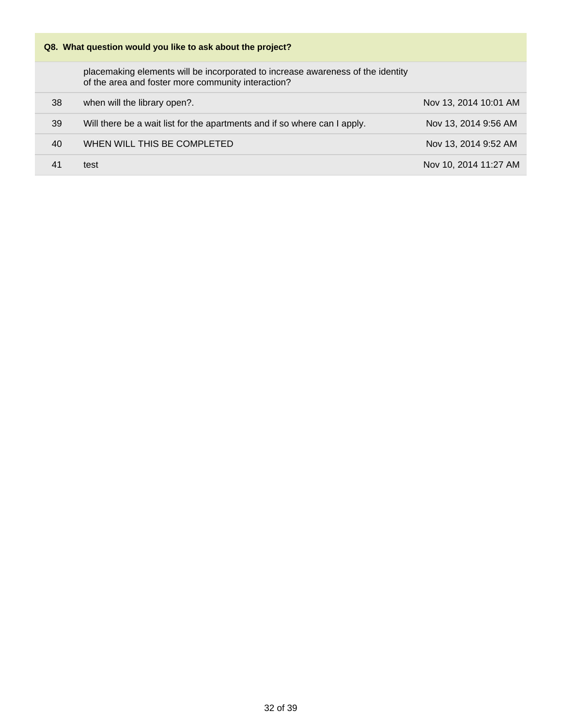### **Q8. What question would you like to ask about the project?**

placemaking elements will be incorporated to increase awareness of the identity of the area and foster more community interaction?

| 38 | when will the library open?.                                              | Nov 13, 2014 10:01 AM |
|----|---------------------------------------------------------------------------|-----------------------|
| 39 | Will there be a wait list for the apartments and if so where can I apply. | Nov 13, 2014 9:56 AM  |
| 40 | WHEN WILL THIS BE COMPLETED                                               | Nov 13, 2014 9:52 AM  |
| 41 | test                                                                      | Nov 10, 2014 11:27 AM |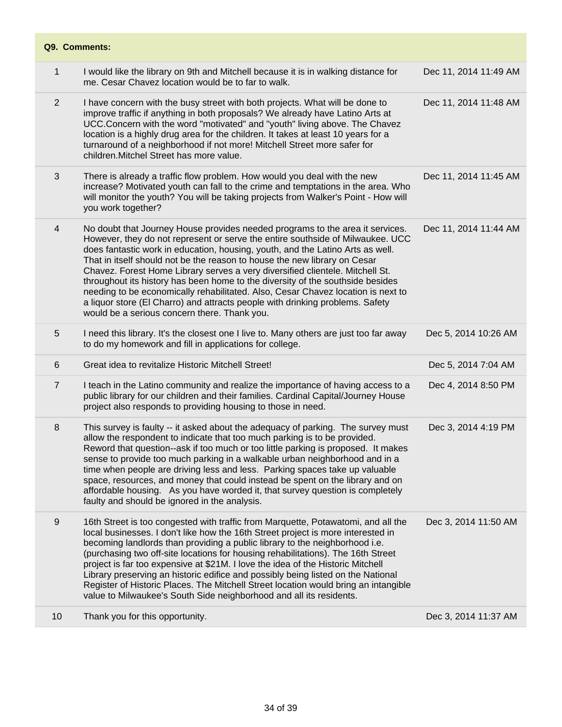| Q9. Comments:  |                                                                                                                                                                                                                                                                                                                                                                                                                                                                                                                                                                                                                                                                                                                        |                       |
|----------------|------------------------------------------------------------------------------------------------------------------------------------------------------------------------------------------------------------------------------------------------------------------------------------------------------------------------------------------------------------------------------------------------------------------------------------------------------------------------------------------------------------------------------------------------------------------------------------------------------------------------------------------------------------------------------------------------------------------------|-----------------------|
| 1              | I would like the library on 9th and Mitchell because it is in walking distance for<br>me. Cesar Chavez location would be to far to walk.                                                                                                                                                                                                                                                                                                                                                                                                                                                                                                                                                                               | Dec 11, 2014 11:49 AM |
| 2              | I have concern with the busy street with both projects. What will be done to<br>improve traffic if anything in both proposals? We already have Latino Arts at<br>UCC.Concern with the word "motivated" and "youth" living above. The Chavez<br>location is a highly drug area for the children. It takes at least 10 years for a<br>turnaround of a neighborhood if not more! Mitchell Street more safer for<br>children. Mitchel Street has more value.                                                                                                                                                                                                                                                               | Dec 11, 2014 11:48 AM |
| 3              | There is already a traffic flow problem. How would you deal with the new<br>increase? Motivated youth can fall to the crime and temptations in the area. Who<br>will monitor the youth? You will be taking projects from Walker's Point - How will<br>you work together?                                                                                                                                                                                                                                                                                                                                                                                                                                               | Dec 11, 2014 11:45 AM |
| 4              | No doubt that Journey House provides needed programs to the area it services.<br>However, they do not represent or serve the entire southside of Milwaukee. UCC<br>does fantastic work in education, housing, youth, and the Latino Arts as well.<br>That in itself should not be the reason to house the new library on Cesar<br>Chavez. Forest Home Library serves a very diversified clientele. Mitchell St.<br>throughout its history has been home to the diversity of the southside besides<br>needing to be economically rehabilitated. Also, Cesar Chavez location is next to<br>a liquor store (El Charro) and attracts people with drinking problems. Safety<br>would be a serious concern there. Thank you. | Dec 11, 2014 11:44 AM |
| 5              | I need this library. It's the closest one I live to. Many others are just too far away<br>to do my homework and fill in applications for college.                                                                                                                                                                                                                                                                                                                                                                                                                                                                                                                                                                      | Dec 5, 2014 10:26 AM  |
| 6              | Great idea to revitalize Historic Mitchell Street!                                                                                                                                                                                                                                                                                                                                                                                                                                                                                                                                                                                                                                                                     | Dec 5, 2014 7:04 AM   |
| $\overline{7}$ | I teach in the Latino community and realize the importance of having access to a<br>public library for our children and their families. Cardinal Capital/Journey House<br>project also responds to providing housing to those in need.                                                                                                                                                                                                                                                                                                                                                                                                                                                                                 | Dec 4, 2014 8:50 PM   |
| 8              | This survey is faulty -- it asked about the adequacy of parking. The survey must<br>allow the respondent to indicate that too much parking is to be provided.<br>Reword that question--ask if too much or too little parking is proposed. It makes<br>sense to provide too much parking in a walkable urban neighborhood and in a<br>time when people are driving less and less. Parking spaces take up valuable<br>space, resources, and money that could instead be spent on the library and on<br>affordable housing. As you have worded it, that survey question is completely<br>faulty and should be ignored in the analysis.                                                                                    | Dec 3, 2014 4:19 PM   |
| 9              | 16th Street is too congested with traffic from Marquette, Potawatomi, and all the<br>local businesses. I don't like how the 16th Street project is more interested in<br>becoming landlords than providing a public library to the neighborhood i.e.<br>(purchasing two off-site locations for housing rehabilitations). The 16th Street<br>project is far too expensive at \$21M. I love the idea of the Historic Mitchell<br>Library preserving an historic edifice and possibly being listed on the National<br>Register of Historic Places. The Mitchell Street location would bring an intangible<br>value to Milwaukee's South Side neighborhood and all its residents.                                          | Dec 3, 2014 11:50 AM  |
| 10             | Thank you for this opportunity.                                                                                                                                                                                                                                                                                                                                                                                                                                                                                                                                                                                                                                                                                        | Dec 3, 2014 11:37 AM  |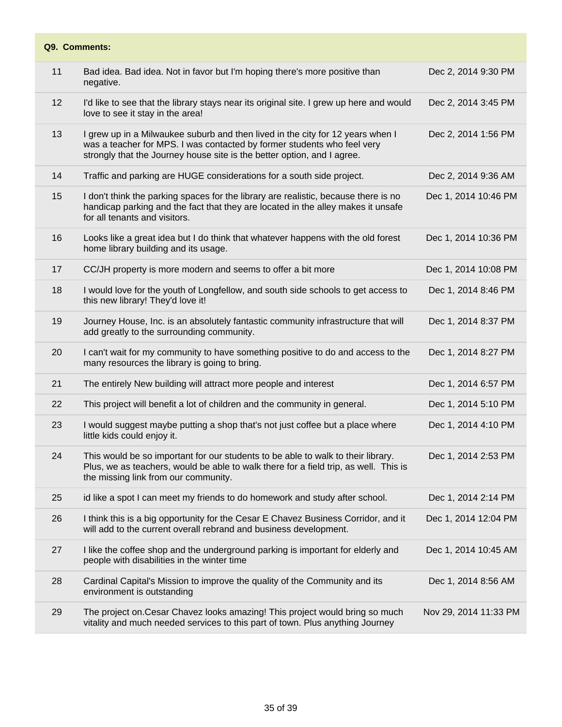| Q9. Comments: |                                                                                                                                                                                                                                      |                       |  |  |
|---------------|--------------------------------------------------------------------------------------------------------------------------------------------------------------------------------------------------------------------------------------|-----------------------|--|--|
| 11            | Bad idea. Bad idea. Not in favor but I'm hoping there's more positive than<br>negative.                                                                                                                                              | Dec 2, 2014 9:30 PM   |  |  |
| 12            | I'd like to see that the library stays near its original site. I grew up here and would<br>love to see it stay in the area!                                                                                                          | Dec 2, 2014 3:45 PM   |  |  |
| 13            | I grew up in a Milwaukee suburb and then lived in the city for 12 years when I<br>was a teacher for MPS. I was contacted by former students who feel very<br>strongly that the Journey house site is the better option, and I agree. | Dec 2, 2014 1:56 PM   |  |  |
| 14            | Traffic and parking are HUGE considerations for a south side project.                                                                                                                                                                | Dec 2, 2014 9:36 AM   |  |  |
| 15            | I don't think the parking spaces for the library are realistic, because there is no<br>handicap parking and the fact that they are located in the alley makes it unsafe<br>for all tenants and visitors.                             | Dec 1, 2014 10:46 PM  |  |  |
| 16            | Looks like a great idea but I do think that whatever happens with the old forest<br>home library building and its usage.                                                                                                             | Dec 1, 2014 10:36 PM  |  |  |
| 17            | CC/JH property is more modern and seems to offer a bit more                                                                                                                                                                          | Dec 1, 2014 10:08 PM  |  |  |
| 18            | I would love for the youth of Longfellow, and south side schools to get access to<br>this new library! They'd love it!                                                                                                               | Dec 1, 2014 8:46 PM   |  |  |
| 19            | Journey House, Inc. is an absolutely fantastic community infrastructure that will<br>add greatly to the surrounding community.                                                                                                       | Dec 1, 2014 8:37 PM   |  |  |
| 20            | I can't wait for my community to have something positive to do and access to the<br>many resources the library is going to bring.                                                                                                    | Dec 1, 2014 8:27 PM   |  |  |
| 21            | The entirely New building will attract more people and interest                                                                                                                                                                      | Dec 1, 2014 6:57 PM   |  |  |
| 22            | This project will benefit a lot of children and the community in general.                                                                                                                                                            | Dec 1, 2014 5:10 PM   |  |  |
| 23            | I would suggest maybe putting a shop that's not just coffee but a place where<br>little kids could enjoy it.                                                                                                                         | Dec 1, 2014 4:10 PM   |  |  |
| 24            | This would be so important for our students to be able to walk to their library.<br>Plus, we as teachers, would be able to walk there for a field trip, as well. This is<br>the missing link from our community.                     | Dec 1, 2014 2:53 PM   |  |  |
| 25            | id like a spot I can meet my friends to do homework and study after school.                                                                                                                                                          | Dec 1, 2014 2:14 PM   |  |  |
| 26            | I think this is a big opportunity for the Cesar E Chavez Business Corridor, and it<br>will add to the current overall rebrand and business development.                                                                              | Dec 1, 2014 12:04 PM  |  |  |
| 27            | I like the coffee shop and the underground parking is important for elderly and<br>people with disabilities in the winter time                                                                                                       | Dec 1, 2014 10:45 AM  |  |  |
| 28            | Cardinal Capital's Mission to improve the quality of the Community and its<br>environment is outstanding                                                                                                                             | Dec 1, 2014 8:56 AM   |  |  |
| 29            | The project on. Cesar Chavez looks amazing! This project would bring so much<br>vitality and much needed services to this part of town. Plus anything Journey                                                                        | Nov 29, 2014 11:33 PM |  |  |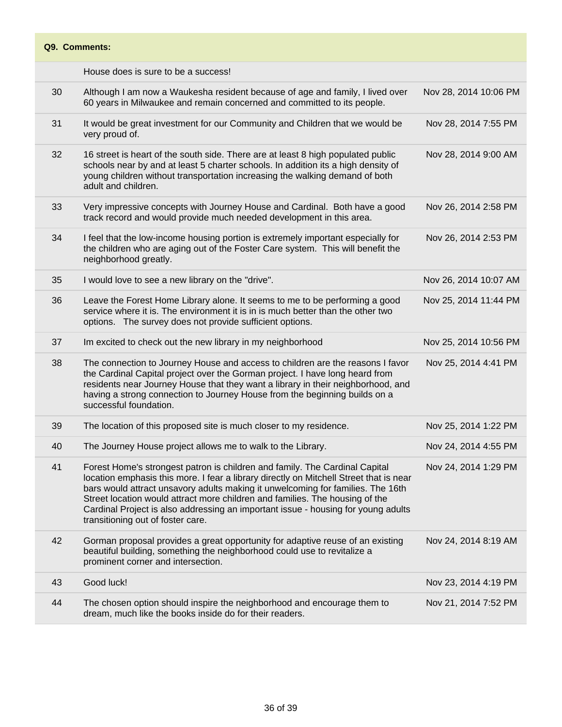House does is sure to be a success!

| 30 | Although I am now a Waukesha resident because of age and family, I lived over<br>60 years in Milwaukee and remain concerned and committed to its people.                                                                                                                                                                                                                                                                                                           | Nov 28, 2014 10:06 PM |
|----|--------------------------------------------------------------------------------------------------------------------------------------------------------------------------------------------------------------------------------------------------------------------------------------------------------------------------------------------------------------------------------------------------------------------------------------------------------------------|-----------------------|
| 31 | It would be great investment for our Community and Children that we would be<br>very proud of.                                                                                                                                                                                                                                                                                                                                                                     | Nov 28, 2014 7:55 PM  |
| 32 | 16 street is heart of the south side. There are at least 8 high populated public<br>schools near by and at least 5 charter schools. In addition its a high density of<br>young children without transportation increasing the walking demand of both<br>adult and children.                                                                                                                                                                                        | Nov 28, 2014 9:00 AM  |
| 33 | Very impressive concepts with Journey House and Cardinal. Both have a good<br>track record and would provide much needed development in this area.                                                                                                                                                                                                                                                                                                                 | Nov 26, 2014 2:58 PM  |
| 34 | I feel that the low-income housing portion is extremely important especially for<br>the children who are aging out of the Foster Care system. This will benefit the<br>neighborhood greatly.                                                                                                                                                                                                                                                                       | Nov 26, 2014 2:53 PM  |
| 35 | I would love to see a new library on the "drive".                                                                                                                                                                                                                                                                                                                                                                                                                  | Nov 26, 2014 10:07 AM |
| 36 | Leave the Forest Home Library alone. It seems to me to be performing a good<br>service where it is. The environment it is in is much better than the other two<br>options. The survey does not provide sufficient options.                                                                                                                                                                                                                                         | Nov 25, 2014 11:44 PM |
| 37 | Im excited to check out the new library in my neighborhood                                                                                                                                                                                                                                                                                                                                                                                                         | Nov 25, 2014 10:56 PM |
| 38 | The connection to Journey House and access to children are the reasons I favor<br>the Cardinal Capital project over the Gorman project. I have long heard from<br>residents near Journey House that they want a library in their neighborhood, and<br>having a strong connection to Journey House from the beginning builds on a<br>successful foundation.                                                                                                         | Nov 25, 2014 4:41 PM  |
| 39 | The location of this proposed site is much closer to my residence.                                                                                                                                                                                                                                                                                                                                                                                                 | Nov 25, 2014 1:22 PM  |
| 40 | The Journey House project allows me to walk to the Library.                                                                                                                                                                                                                                                                                                                                                                                                        | Nov 24, 2014 4:55 PM  |
| 41 | Forest Home's strongest patron is children and family. The Cardinal Capital<br>location emphasis this more. I fear a library directly on Mitchell Street that is near<br>bars would attract unsavory adults making it unwelcoming for families. The 16th<br>Street location would attract more children and families. The housing of the<br>Cardinal Project is also addressing an important issue - housing for young adults<br>transitioning out of foster care. | Nov 24, 2014 1:29 PM  |
| 42 | Gorman proposal provides a great opportunity for adaptive reuse of an existing<br>beautiful building, something the neighborhood could use to revitalize a<br>prominent corner and intersection.                                                                                                                                                                                                                                                                   | Nov 24, 2014 8:19 AM  |
| 43 | Good luck!                                                                                                                                                                                                                                                                                                                                                                                                                                                         | Nov 23, 2014 4:19 PM  |
| 44 | The chosen option should inspire the neighborhood and encourage them to<br>dream, much like the books inside do for their readers.                                                                                                                                                                                                                                                                                                                                 | Nov 21, 2014 7:52 PM  |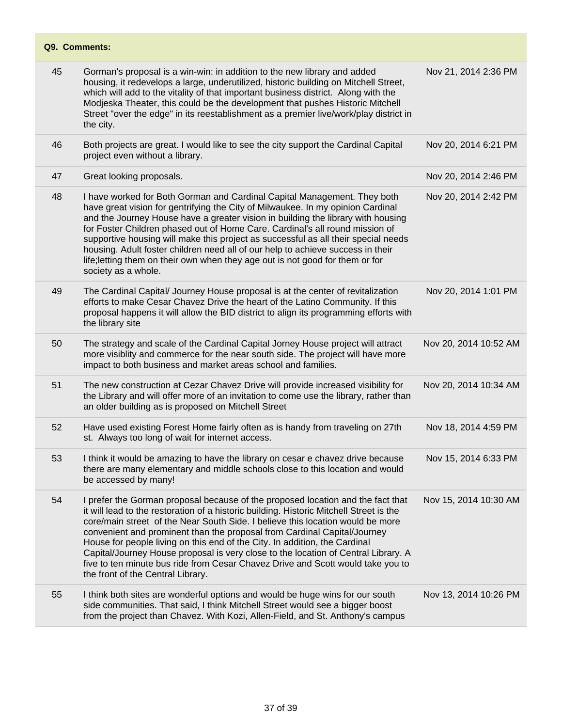| 45 | Gorman's proposal is a win-win: in addition to the new library and added<br>housing, it redevelops a large, underutilized, historic building on Mitchell Street,<br>which will add to the vitality of that important business district. Along with the<br>Modjeska Theater, this could be the development that pushes Historic Mitchell<br>Street "over the edge" in its reestablishment as a premier live/work/play district in<br>the city.                                                                                                                                                                                        | Nov 21, 2014 2:36 PM  |
|----|--------------------------------------------------------------------------------------------------------------------------------------------------------------------------------------------------------------------------------------------------------------------------------------------------------------------------------------------------------------------------------------------------------------------------------------------------------------------------------------------------------------------------------------------------------------------------------------------------------------------------------------|-----------------------|
| 46 | Both projects are great. I would like to see the city support the Cardinal Capital<br>project even without a library.                                                                                                                                                                                                                                                                                                                                                                                                                                                                                                                | Nov 20, 2014 6:21 PM  |
| 47 | Great looking proposals.                                                                                                                                                                                                                                                                                                                                                                                                                                                                                                                                                                                                             | Nov 20, 2014 2:46 PM  |
| 48 | I have worked for Both Gorman and Cardinal Capital Management. They both<br>have great vision for gentrifying the City of Milwaukee. In my opinion Cardinal<br>and the Journey House have a greater vision in building the library with housing<br>for Foster Children phased out of Home Care. Cardinal's all round mission of<br>supportive housing will make this project as successful as all their special needs<br>housing. Adult foster children need all of our help to achieve success in their<br>life; letting them on their own when they age out is not good for them or for<br>society as a whole.                     | Nov 20, 2014 2:42 PM  |
| 49 | The Cardinal Capital/ Journey House proposal is at the center of revitalization<br>efforts to make Cesar Chavez Drive the heart of the Latino Community. If this<br>proposal happens it will allow the BID district to align its programming efforts with<br>the library site                                                                                                                                                                                                                                                                                                                                                        | Nov 20, 2014 1:01 PM  |
| 50 | The strategy and scale of the Cardinal Capital Jorney House project will attract<br>more visiblity and commerce for the near south side. The project will have more<br>impact to both business and market areas school and families.                                                                                                                                                                                                                                                                                                                                                                                                 | Nov 20, 2014 10:52 AM |
| 51 | The new construction at Cezar Chavez Drive will provide increased visibility for<br>the Library and will offer more of an invitation to come use the library, rather than<br>an older building as is proposed on Mitchell Street                                                                                                                                                                                                                                                                                                                                                                                                     | Nov 20, 2014 10:34 AM |
| 52 | Have used existing Forest Home fairly often as is handy from traveling on 27th<br>st. Always too long of wait for internet access.                                                                                                                                                                                                                                                                                                                                                                                                                                                                                                   | Nov 18, 2014 4:59 PM  |
| 53 | I think it would be amazing to have the library on cesar e chavez drive because<br>there are many elementary and middle schools close to this location and would<br>be accessed by many!                                                                                                                                                                                                                                                                                                                                                                                                                                             | Nov 15, 2014 6:33 PM  |
| 54 | I prefer the Gorman proposal because of the proposed location and the fact that<br>it will lead to the restoration of a historic building. Historic Mitchell Street is the<br>core/main street of the Near South Side. I believe this location would be more<br>convenient and prominent than the proposal from Cardinal Capital/Journey<br>House for people living on this end of the City. In addition, the Cardinal<br>Capital/Journey House proposal is very close to the location of Central Library. A<br>five to ten minute bus ride from Cesar Chavez Drive and Scott would take you to<br>the front of the Central Library. | Nov 15, 2014 10:30 AM |
| 55 | I think both sites are wonderful options and would be huge wins for our south<br>side communities. That said, I think Mitchell Street would see a bigger boost<br>from the project than Chavez. With Kozi, Allen-Field, and St. Anthony's campus                                                                                                                                                                                                                                                                                                                                                                                     | Nov 13, 2014 10:26 PM |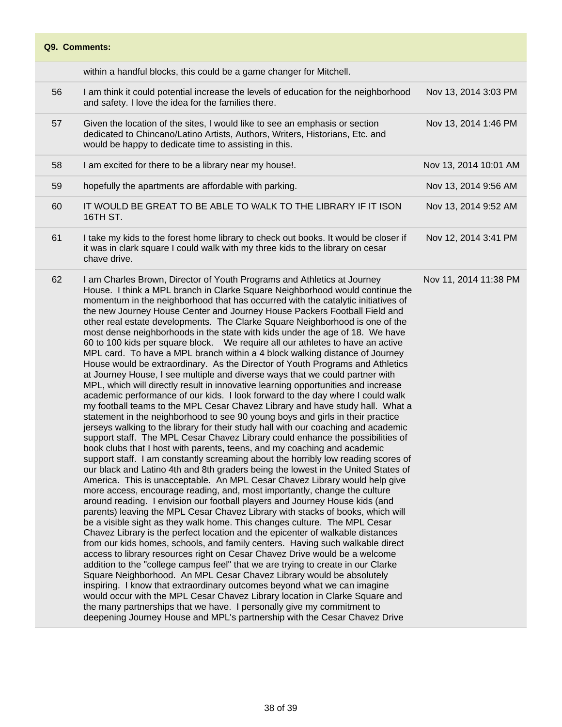dedicated to Chincano/Latino Artists, Authors, Writers, Historians, Etc. and

- 56 I am think it could potential increase the levels of education for the neighborhood and safety. I love the idea for the families there. Nov 13, 2014 3:03 PM 57 Given the location of the sites, I would like to see an emphasis or section Nov 13, 2014 1:46 PM
- would be happy to dedicate time to assisting in this. 58 I am excited for there to be a library near my house!. Nov 13, 2014 10:01 AM 59 hopefully the apartments are affordable with parking. Nov 13, 2014 9:56 AM 60 IT WOULD BE GREAT TO BE ABLE TO WALK TO THE LIBRARY IF IT ISON 16TH ST. Nov 13, 2014 9:52 AM 61 I take my kids to the forest home library to check out books. It would be closer if Nov 12, 2014 3:41 PM
	- it was in clark square I could walk with my three kids to the library on cesar chave drive.
	- 62 I am Charles Brown, Director of Youth Programs and Athletics at Journey House. I think a MPL branch in Clarke Square Neighborhood would continue the momentum in the neighborhood that has occurred with the catalytic initiatives of the new Journey House Center and Journey House Packers Football Field and other real estate developments. The Clarke Square Neighborhood is one of the most dense neighborhoods in the state with kids under the age of 18. We have 60 to 100 kids per square block. We require all our athletes to have an active MPL card. To have a MPL branch within a 4 block walking distance of Journey House would be extraordinary. As the Director of Youth Programs and Athletics at Journey House, I see multiple and diverse ways that we could partner with MPL, which will directly result in innovative learning opportunities and increase academic performance of our kids. I look forward to the day where I could walk my football teams to the MPL Cesar Chavez Library and have study hall. What a statement in the neighborhood to see 90 young boys and girls in their practice jerseys walking to the library for their study hall with our coaching and academic support staff. The MPL Cesar Chavez Library could enhance the possibilities of book clubs that I host with parents, teens, and my coaching and academic support staff. I am constantly screaming about the horribly low reading scores of our black and Latino 4th and 8th graders being the lowest in the United States of America. This is unacceptable. An MPL Cesar Chavez Library would help give more access, encourage reading, and, most importantly, change the culture around reading. I envision our football players and Journey House kids (and parents) leaving the MPL Cesar Chavez Library with stacks of books, which will be a visible sight as they walk home. This changes culture. The MPL Cesar Chavez Library is the perfect location and the epicenter of walkable distances from our kids homes, schools, and family centers. Having such walkable direct access to library resources right on Cesar Chavez Drive would be a welcome addition to the "college campus feel" that we are trying to create in our Clarke Square Neighborhood. An MPL Cesar Chavez Library would be absolutely inspiring. I know that extraordinary outcomes beyond what we can imagine would occur with the MPL Cesar Chavez Library location in Clarke Square and the many partnerships that we have. I personally give my commitment to deepening Journey House and MPL's partnership with the Cesar Chavez Drive Nov 11, 2014 11:38 PM